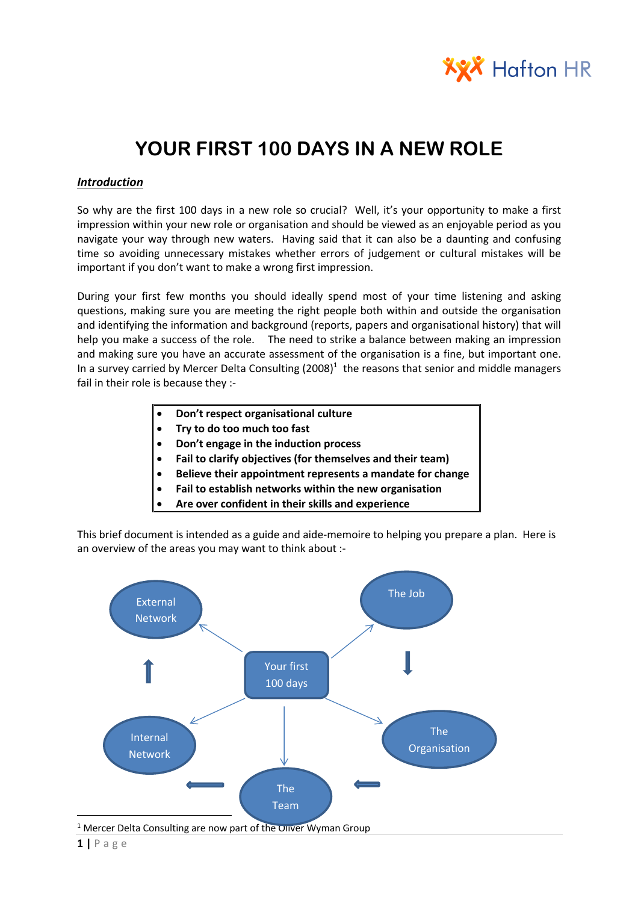

# **YOUR FIRST 100 DAYS IN A NEW ROLE**

#### *Introduction*

So why are the first 100 days in a new role so crucial? Well, it's your opportunity to make a first impression within your new role or organisation and should be viewed as an enjoyable period as you navigate your way through new waters. Having said that it can also be a daunting and confusing time so avoiding unnecessary mistakes whether errors of judgement or cultural mistakes will be important if you don't want to make a wrong first impression.

During your first few months you should ideally spend most of your time listening and asking questions, making sure you are meeting the right people both within and outside the organisation and identifying the information and background (reports, papers and organisational history) that will help you make a success of the role. The need to strike a balance between making an impression and making sure you have an accurate assessment of the organisation is a fine, but important one. In a survey carried by Mercer Delta Consulting  $(2008)^1$  the reasons that senior and middle managers fail in their role is because they :-

- **Don't respect organisational culture**
- **Try to do too much too fast**
- **Don't engage in the induction process**
- **Fail to clarify objectives (for themselves and their team)**
- **Believe their appointment represents a mandate for change**
- **Fail to establish networks within the new organisation**
- **Are over confident in their skills and experience**

This brief document is intended as a guide and aide-memoire to helping you prepare a plan. Here is an overview of the areas you may want to think about :-



<sup>1</sup> Mercer Delta Consulting are now part of the Oliver Wyman Group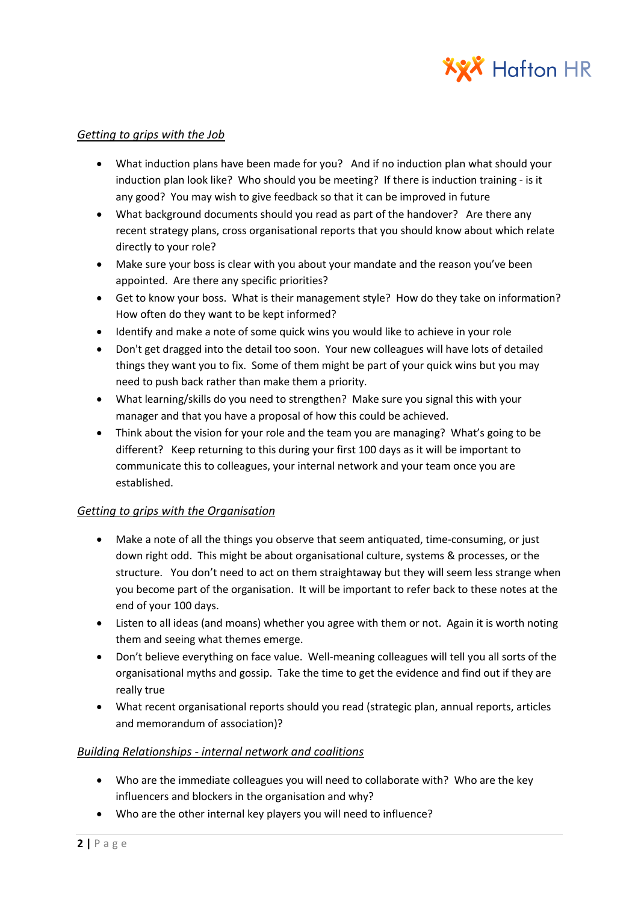

#### *Getting to grips with the Job*

- What induction plans have been made for you? And if no induction plan what should your induction plan look like? Who should you be meeting? If there is induction training - is it any good? You may wish to give feedback so that it can be improved in future
- What background documents should you read as part of the handover? Are there any recent strategy plans, cross organisational reports that you should know about which relate directly to your role?
- Make sure your boss is clear with you about your mandate and the reason you've been appointed. Are there any specific priorities?
- Get to know your boss. What is their management style? How do they take on information? How often do they want to be kept informed?
- Identify and make a note of some quick wins you would like to achieve in your role
- Don't get dragged into the detail too soon. Your new colleagues will have lots of detailed things they want you to fix. Some of them might be part of your quick wins but you may need to push back rather than make them a priority.
- What learning/skills do you need to strengthen? Make sure you signal this with your manager and that you have a proposal of how this could be achieved.
- Think about the vision for your role and the team you are managing? What's going to be different? Keep returning to this during your first 100 days as it will be important to communicate this to colleagues, your internal network and your team once you are established.

# *Getting to grips with the Organisation*

- Make a note of all the things you observe that seem antiquated, time-consuming, or just down right odd. This might be about organisational culture, systems & processes, or the structure. You don't need to act on them straightaway but they will seem less strange when you become part of the organisation. It will be important to refer back to these notes at the end of your 100 days.
- Listen to all ideas (and moans) whether you agree with them or not. Again it is worth noting them and seeing what themes emerge.
- Don't believe everything on face value. Well-meaning colleagues will tell you all sorts of the organisational myths and gossip. Take the time to get the evidence and find out if they are really true
- What recent organisational reports should you read (strategic plan, annual reports, articles and memorandum of association)?

# *Building Relationships - internal network and coalitions*

- Who are the immediate colleagues you will need to collaborate with? Who are the key influencers and blockers in the organisation and why?
- Who are the other internal key players you will need to influence?